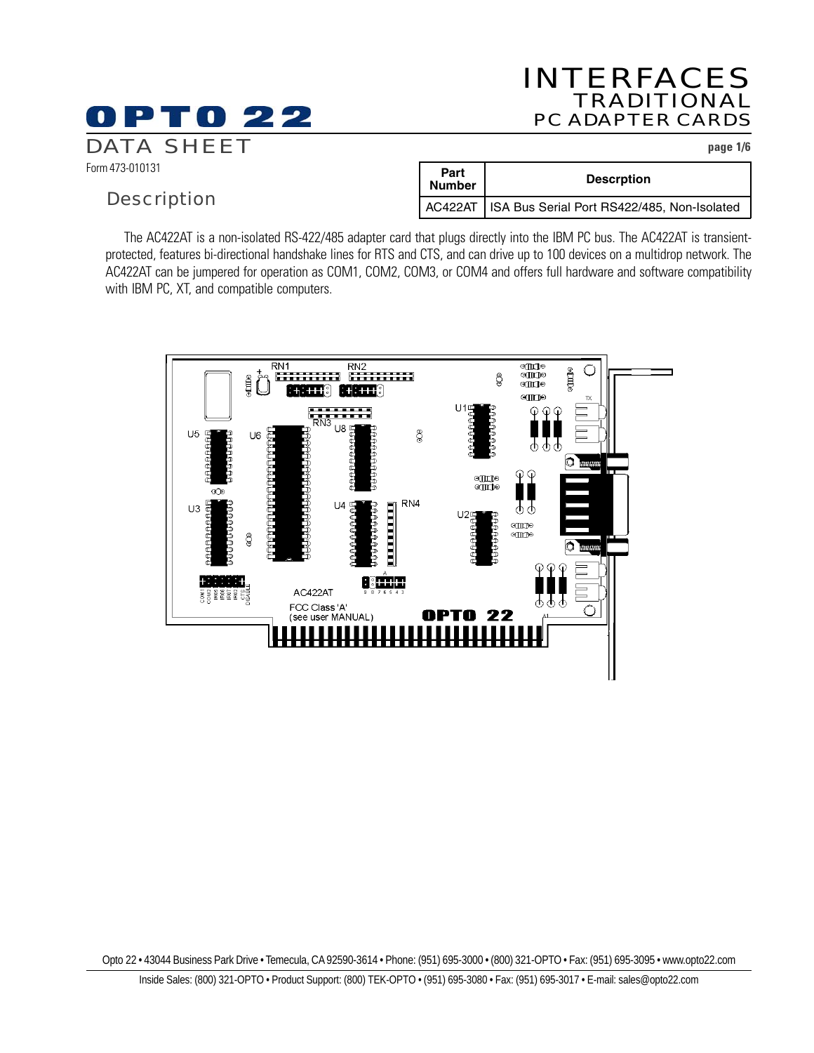# INTERFACES TRADITIONAL PC ADAPTER CARDS

DATA SHEET **page 1/6**

Form 473-010131

### **Description**

0 P T 0 22

| Part<br><b>Number</b> | <b>Descrption</b>                                     |  |
|-----------------------|-------------------------------------------------------|--|
|                       | AC422AT   ISA Bus Serial Port RS422/485, Non-Isolated |  |

The AC422AT is a non-isolated RS-422/485 adapter card that plugs directly into the IBM PC bus. The AC422AT is transientprotected, features bi-directional handshake lines for RTS and CTS, and can drive up to 100 devices on a multidrop network. The AC422AT can be jumpered for operation as COM1, COM2, COM3, or COM4 and offers full hardware and software compatibility with IBM PC, XT, and compatible computers.



Opto 22 • 43044 Business Park Drive • Temecula, CA 92590-3614 • Phone: (951) 695-3000 • (800) 321-OPTO • Fax: (951) 695-3095 • www.opto22.com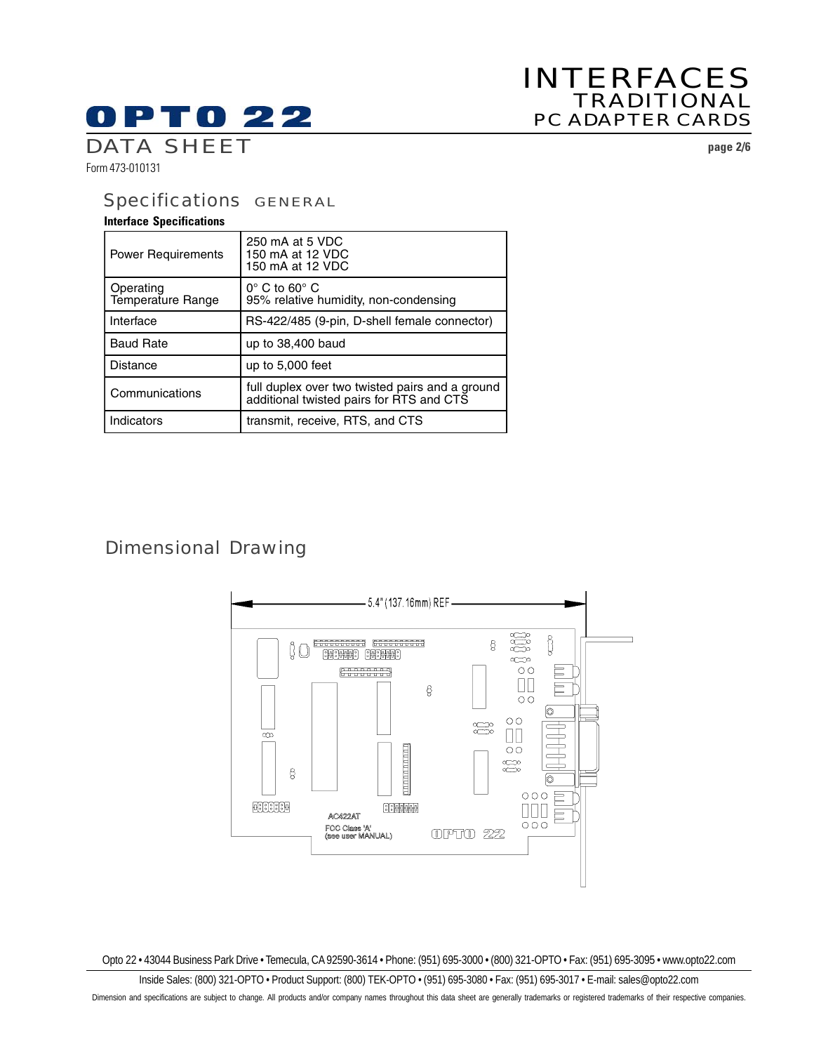# **OPTO 22**

# INTERFACES TRADITIONAL PC ADAPTER CARDS

DATA SHEET **page 2/6**

Form 473-010131

## Specifications GENERAL

### **Interface Specifications**

| <b>Power Requirements</b>      | 250 mA at 5 VDC<br>150 mA at 12 VDC<br>150 mA at 12 VDC                                     |
|--------------------------------|---------------------------------------------------------------------------------------------|
| Operating<br>Temperature Range | $0^\circ$ C to 60 $^\circ$ C<br>95% relative humidity, non-condensing                       |
| Interface                      | RS-422/485 (9-pin, D-shell female connector)                                                |
| <b>Baud Rate</b>               | up to 38,400 baud                                                                           |
| Distance                       | up to $5,000$ feet                                                                          |
| Communications                 | full duplex over two twisted pairs and a ground<br>additional twisted pairs for RTS and CTS |
| Indicators                     | transmit, receive, RTS, and CTS                                                             |

# Dimensional Drawing



Opto 22 • 43044 Business Park Drive • Temecula, CA 92590-3614 • Phone: (951) 695-3000 • (800) 321-OPTO • Fax: (951) 695-3095 • www.opto22.com

Inside Sales: (800) 321-OPTO • Product Support: (800) TEK-OPTO • (951) 695-3080 • Fax: (951) 695-3017 • E-mail: sales@opto22.com Dimension and specifications are subject to change. All products and/or company names throughout this data sheet are generally trademarks or registered trademarks of their respective companies.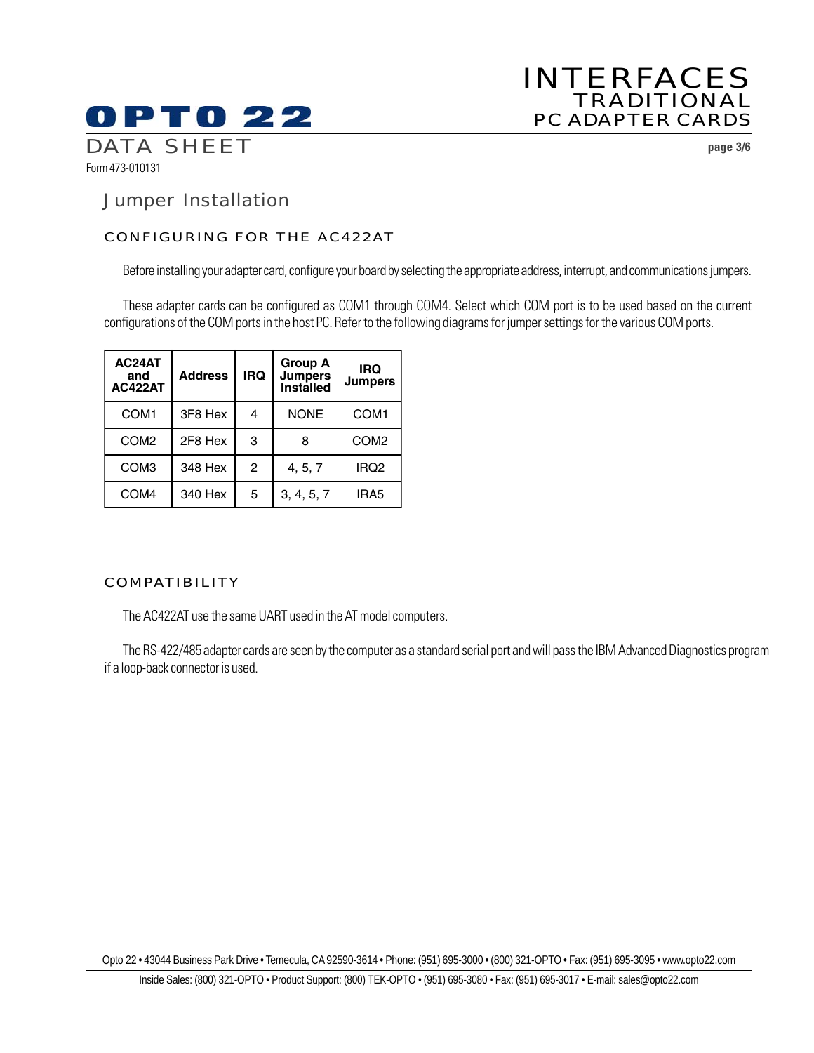

# INTERFACES TRADITIONAL PC ADAPTER CARDS

### Jumper Installation

### CONFIGURING FOR THE AC422AT

Before installing your adapter card, configure your board by selecting the appropriate address, interrupt, and communications jumpers.

These adapter cards can be configured as COM1 through COM4. Select which COM port is to be used based on the current configurations of the COM ports in the host PC. Refer to the following diagrams for jumper settings for the various COM ports.

| AC24AT<br>and<br>AC422AT | <b>Address</b> | <b>IRQ</b> | <b>Group A</b><br><b>Jumpers</b><br><b>Installed</b> | <b>IRQ</b><br><b>Jumpers</b> |
|--------------------------|----------------|------------|------------------------------------------------------|------------------------------|
| COM <sub>1</sub>         | 3F8 Hex        | 4          | <b>NONE</b>                                          | COM <sub>1</sub>             |
| COM <sub>2</sub>         | 2F8 Hex        | 3          | 8                                                    | COM <sub>2</sub>             |
| COM <sub>3</sub>         | 348 Hex        | 2          | 4, 5, 7                                              | IRQ <sub>2</sub>             |
| COM <sub>4</sub>         | 340 Hex        | 5          | 3, 4, 5, 7                                           | IRA <sub>5</sub>             |

### COMPATIBILITY

The AC422AT use the same UART used in the AT model computers.

The RS-422/485 adapter cards are seen by the computer as a standard serial port and will pass the IBM Advanced Diagnostics program if a loop-back connector is used.

Opto 22 • 43044 Business Park Drive • Temecula, CA 92590-3614 • Phone: (951) 695-3000 • (800) 321-OPTO • Fax: (951) 695-3095 • www.opto22.com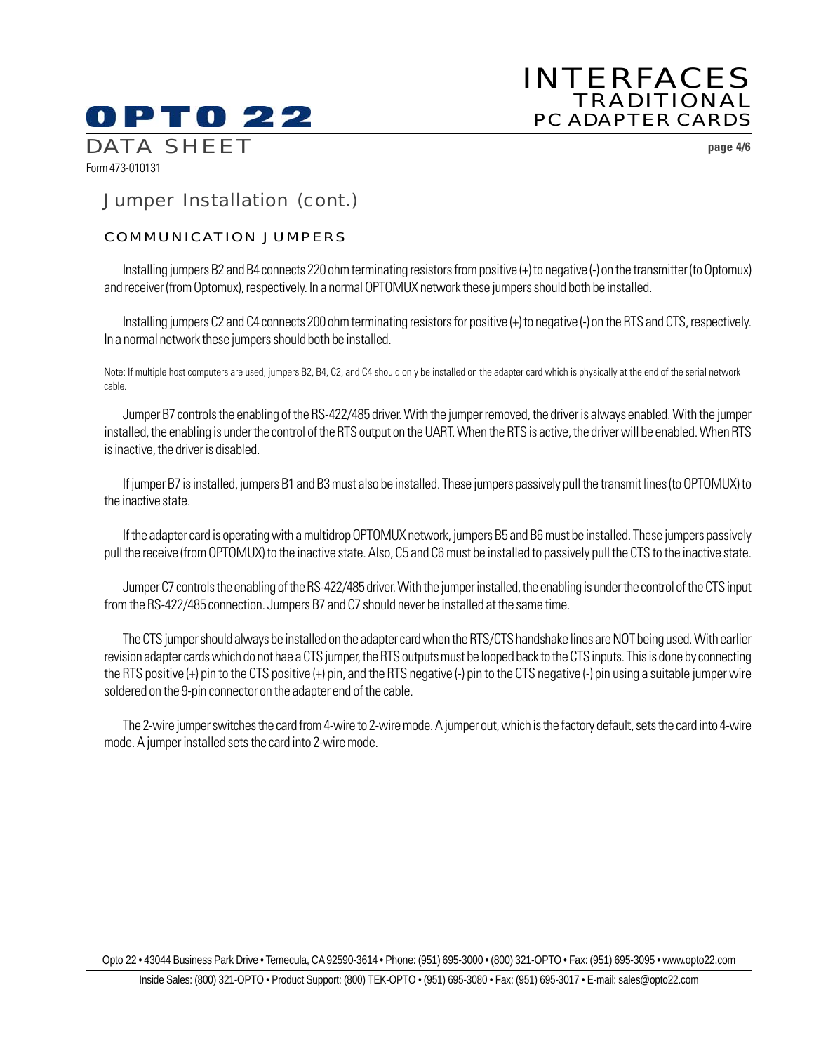# **OPTO 22** DATA SHEET **page 4/6**

# INTERFACES TRADITIONAL PC ADAPTER CARDS

Form 473-010131

# Jumper Installation (cont.)

### COMMUNICATION JUMPERS

Installing jumpers B2 and B4 connects 220 ohm terminating resistors from positive (+) to negative (-) on the transmitter (to Optomux) and receiver (from Optomux), respectively. In a normal OPTOMUX network these jumpers should both be installed.

Installing jumpers C2 and C4 connects 200 ohm terminating resistors for positive (+) to negative (-) on the RTS and CTS, respectively. In a normal network these jumpers should both be installed.

Note: If multiple host computers are used, jumpers B2, B4, C2, and C4 should only be installed on the adapter card which is physically at the end of the serial network cable.

Jumper B7 controls the enabling of the RS-422/485 driver. With the jumper removed, the driver is always enabled. With the jumper installed, the enabling is under the control of the RTS output on the UART. When the RTS is active, the driver will be enabled. When RTS is inactive, the driver is disabled.

If jumper B7 is installed, jumpers B1 and B3 must also be installed. These jumpers passively pull the transmit lines (to OPTOMUX) to the inactive state.

If the adapter card is operating with a multidrop OPTOMUX network, jumpers B5 and B6 must be installed. These jumpers passively pull the receive (from OPTOMUX) to the inactive state. Also, C5 and C6 must be installed to passively pull the CTS to the inactive state.

Jumper C7 controls the enabling of the RS-422/485 driver. With the jumper installed, the enabling is under the control of the CTS input from the RS-422/485 connection. Jumpers B7 and C7 should never be installed at the same time.

The CTS jumper should always be installed on the adapter card when the RTS/CTS handshake lines are NOT being used. With earlier revision adapter cards which do not hae a CTS jumper, the RTS outputs must be looped back to the CTS inputs. This is done by connecting the RTS positive (+) pin to the CTS positive (+) pin, and the RTS negative (-) pin to the CTS negative (-) pin using a suitable jumper wire soldered on the 9-pin connector on the adapter end of the cable.

The 2-wire jumper switches the card from 4-wire to 2-wire mode. A jumper out, which is the factory default, sets the card into 4-wire mode. A jumper installed sets the card into 2-wire mode.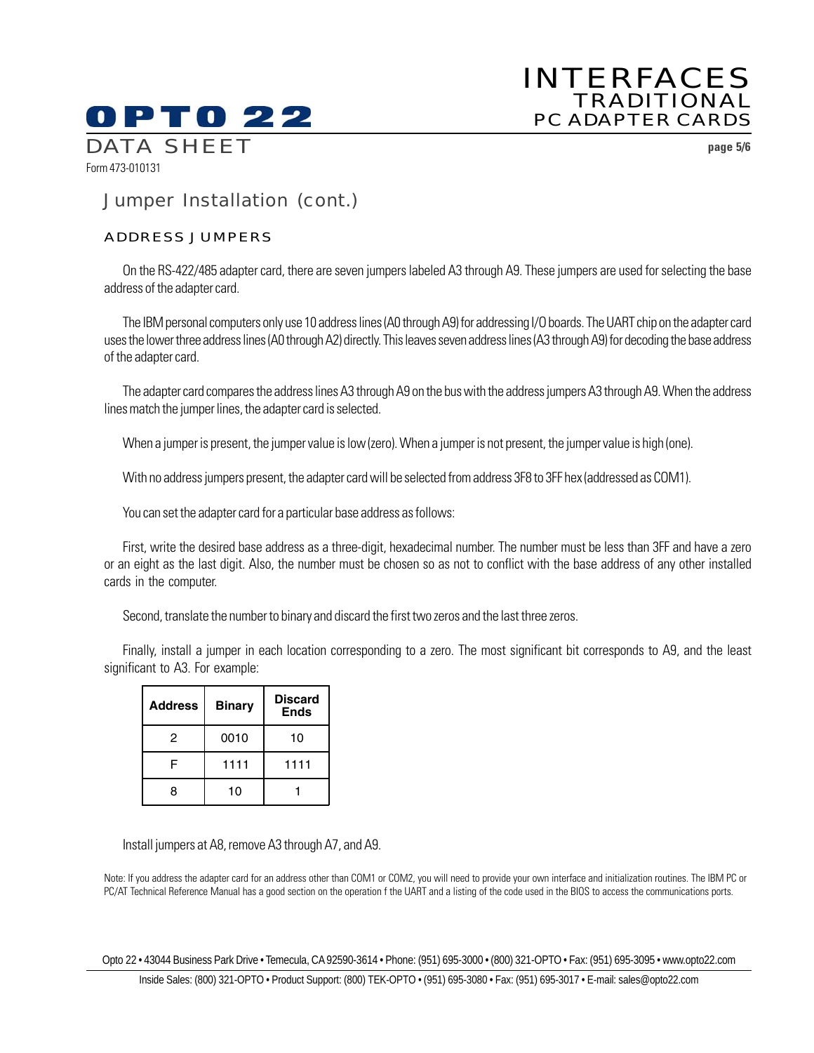# **OPTO 22** DATA SHEET **page 5/6**

# INTERFACES TRADITIONAL PC ADAPTER CARDS

# Jumper Installation (cont.)

### ADDRESS JUMPERS

Form 473-010131

On the RS-422/485 adapter card, there are seven jumpers labeled A3 through A9. These jumpers are used for selecting the base address of the adapter card.

The IBM personal computers only use 10 address lines (A0 through A9) for addressing I/O boards. The UART chip on the adapter card uses the lower three address lines (A0 through A2) directly. This leaves seven address lines (A3 through A9) for decoding the base address of the adapter card.

The adapter card compares the address lines A3 through A9 on the bus with the address jumpers A3 through A9. When the address lines match the jumper lines, the adapter card is selected.

When a jumper is present, the jumper value is low (zero). When a jumper is not present, the jumper value is high (one).

With no address jumpers present, the adapter card will be selected from address 3F8 to 3FF hex (addressed as COM1).

You can set the adapter card for a particular base address as follows:

First, write the desired base address as a three-digit, hexadecimal number. The number must be less than 3FF and have a zero or an eight as the last digit. Also, the number must be chosen so as not to conflict with the base address of any other installed cards in the computer.

Second, translate the number to binary and discard the first two zeros and the last three zeros.

Finally, install a jumper in each location corresponding to a zero. The most significant bit corresponds to A9, and the least significant to A3. For example:

| <b>Address</b> | <b>Binary</b> | <b>Discard</b><br><b>Ends</b> |
|----------------|---------------|-------------------------------|
| 2              | 0010          | 10                            |
|                | 1111          | 1111                          |
| я              | 10            |                               |

Install jumpers at A8, remove A3 through A7, and A9.

Note: If you address the adapter card for an address other than COM1 or COM2, you will need to provide your own interface and initialization routines. The IBM PC or PC/AT Technical Reference Manual has a good section on the operation f the UART and a listing of the code used in the BIOS to access the communications ports.

Opto 22 • 43044 Business Park Drive • Temecula, CA 92590-3614 • Phone: (951) 695-3000 • (800) 321-OPTO • Fax: (951) 695-3095 • www.opto22.com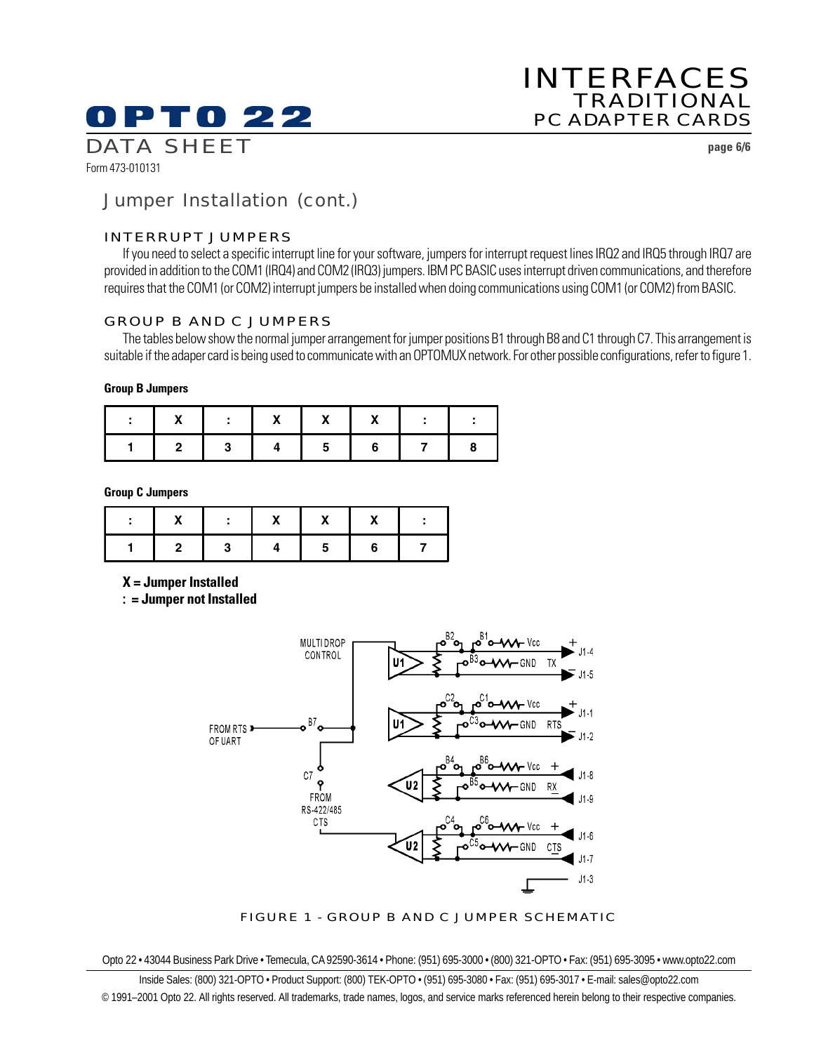# 0 PT 0 22

# INTERFACES TRADITIONAL PC ADAPTER CARDS

Form 473-010131

DATA SHEET **page 6/6**

# Jumper Installation (cont.)

### INTERRUPT JUMPERS

If you need to select a specific interrupt line for your software, jumpers for interrupt request lines IRQ2 and IRQ5 through IRQ7 are provided in addition to the COM1 (IRQ4) and COM2 (IRQ3) jumpers. IBM PC BASIC uses interrupt driven communications, and therefore requires that the COM1 (or COM2) interrupt jumpers be installed when doing communications using COM1 (or COM2) from BASIC.

### GROUP B AND C JUMPERS

The tables below show the normal jumper arrangement for jumper positions B1 through B8 and C1 through C7. This arrangement is suitable if the adaper card is being used to communicate with an OPTOMUX network. For other possible configurations, refer to figure 1.

#### **Group B Jumpers**

| - 2000 | -2 | ь. |  |  |
|--------|----|----|--|--|

**Group C Jumpers**

|  | v | $\cdot$ |  |
|--|---|---------|--|
|  |   |         |  |

**X = Jumper Installed**

**: = Jumper not Installed**



FIGURE 1 - GROUP B AND C JUMPER SCHEMATIC

Opto 22 • 43044 Business Park Drive • Temecula, CA 92590-3614 • Phone: (951) 695-3000 • (800) 321-OPTO • Fax: (951) 695-3095 • www.opto22.com

Inside Sales: (800) 321-OPTO • Product Support: (800) TEK-OPTO • (951) 695-3080 • Fax: (951) 695-3017 • E-mail: sales@opto22.com © 1991–2001 Opto 22. All rights reserved. All trademarks, trade names, logos, and service marks referenced herein belong to their respective companies.